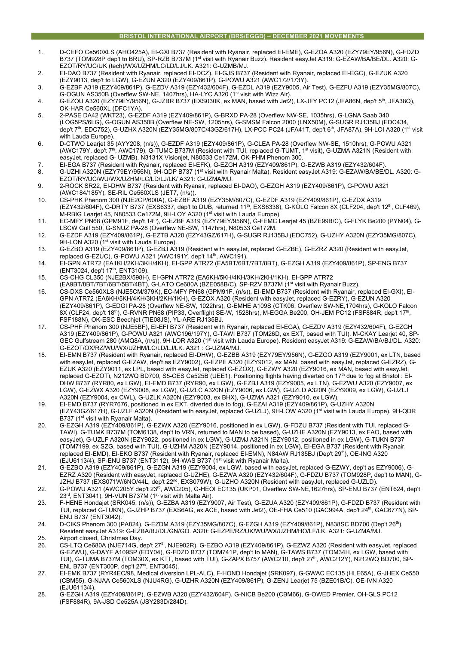# **BRISTOL INTERNATIONAL AIRPORT (BRS/EGGD) – DECEMBER 2021 MOVEMENTS**

- 1. D-CEFO Ce560XLS (AHO425A), EI-GXI B737 (Resident with Ryanair, replaced EI-EME), G-EZOA A320 (EZY79EY/956N), G-FDZD B737 (TOM928P dep't to BRU), SP-RZB B737M (1st visit with Ryanair Buzz). Resident easyJet A319: G-EZAW/BA/BE/DL. A320: G-EZOT/RY/UC/UK (tech)/WX/UZHM/LC/LD/LJ/LK. A321: G-UZMB/MJ.
- 2. EI-DAO B737 (Resident with Ryanair, replaced EI-DCZ), EI-GJS B737 (Resident with Ryanair, replaced EI-EGC), G-EZUK A320 (EZY9013, dep't to LGW), G-EZUN A320 (EZY409/861P), G-POWU A321 (AWC172/173Y).
- 3. G-EZBF A319 (EZY409/861P), G-EZDV A319 (EZY432/604F), G-EZDL A319 (EZY9005, Air Test), G-EZFU A319 (EZY35MG/807C), G-OGUN AS350B (Overflew SW-NE, 1407hrs), HA-LYC A320 (1<sup>st</sup> visit with Wizz Air).
- 4. G-EZOU A320 (EZY79EY/956N), G-JZBR B737 (EXS030K, ex MAN, based with Jet2), LX-JFY PC12 (JFA86N, dep't 5th, JFA38Q), OK-HAR Ce560XL (DFC1YA).
- 5. 2-PASE DA42 (WKT23), G-EZDF A319 (EZY409/861P), G-BRXD PA-28 (Overflew NW-SE, 1035hrs), G-LGNA Saab 340 (LOG5PS/6LG), G-OGUN AS350B (Overflew NE-SW, 1205hrs), G-SMSM Falcon 2000 (LNX50M), G-SUGR RJ135BJ (EDC434, dep't 7th, EDC752), G-UZHX A320N (EZY35MG/807C/43GZ/617H), LX-PCC PC24 (JFA41T, dep't 6th, JFA87A), 9H-LOI A320 (1st visit with Lauda Europe).
- 6. D-CTWO Learjet 35 (AYY208, (n/s)), G-EZDF A319 (EZY409/861P), G-CLEA PA-28 (Overflew NW-SE, 1510hrs), G-POWU A321 (AWC179Y, dep't 7<sup>th</sup>, AWC179), G-TUMC B737M (Resident with TUI, replaced G-TUMT, 1<sup>st</sup> visit), G-UZMA A321N (Resident with easyJet, replaced G- UZMB), N3131X Visionjet, N80533 Ce172M, OK-PHM Phenom 300.
- 7. EI-EGA B737 (Resident with Ryanair, replaced EI-EFK), G-EZGH A319 (EZY409/861P), G-EZWB A319 (EZY432/604F). 8. G-UZHI A320N (EZY79EY/956N), 9H-QDP B737 (1st visit with Ryanair Malta). Resident easyJet A319: G-EZAW/BA/BE/DL. A320: G-
- EZOT/RY/UC/WU/WX/UZHM/LC/LD/LJ/LK/ A321: G-UZMA/MJ. 9. 2-ROCK SR22, EI-DHW B737 (Resident with Ryanair, replaced EI-DAO), G-EZGH A319 (EZY409/861P), G-POWU A321
- (AWC184/185Y), SE-RIL Ce560XLS (JET7, (n/s)). 10. CS-PHK Phenom 300 (NJE2CP/600A), G-EZBF A319 (EZY35M/807C), G-EZDF A319 (EZY409/861P), G-EZDX A319
- (EZY432/604F), G-DRTY B737 (EXS6337, dep't to DUB, returned 11th, EXS6338), G-KOLO Falcon 8X (CLF204, dep't 12th, CLF469), M-RBIG Learjet 45, N80533 Ce172M, 9H-LOY A320 (1<sup>st</sup> visit with Lauda Europe).
- 11. EC-MFY PN68 (GPM91F, dep't 14th), G-EZBF A319 (EZY79EY/956N), G-FEMC Learjet 45 (BZE99B/C), G-FLYK Be200 (PYN04), G-LSCW Gulf 550, G-SNUZ PA-28 (Overflew NE-SW, 1147hrs), N80533 Ce172M.
- 12. G-EZDF A319 (EZY409/861P), G-EZTB A320 (EZY43GZ/617H), G-SUGR RJ135BJ (EDC752), G-UZHY A320N (EZY35MG/807C), 9H-LON A320 (1<sup>st</sup> visit with Lauda Europe).
- 13. G-EZBO A319 (EZY409/861P), G-EZBJ A319 (Resident with easyJet, replaced G-EZBE), G-EZRZ A320 (Resident with easyJet, replaced G-EZUC), G-POWU A321 (AWC191Y, dep't 14<sup>th</sup>, AWC191).
- 14. EI-GPN ATR72 (EA1KH/2KH/3KH/4KH), EI-GPP ATR72 (EA5BT/6BT/7BT/8BT), G-EZGH A319 (EZY409/861P), SP-ENG B737 (ENT3024, dep't 17<sup>th</sup>, ENT3109).
- 15. CS-CHG CL350 (NJE2BX/598H), EI-GPN ATR72 (EA6KH/5KH/4KH/3KH/2KH/1KH), EI-GPP ATR72 (EA9BT/8BT/7BT/6BT/5BT/4BT), G-LATO Ce680A (BZE058B/C), SP-RZV B737M (1st visit with Ryanair Buzz).
- 16. CS-DXS Ce560XLS (NJE5CM/379K), EC-MFY PN68 (GPM91F, (n/s)), EI-EMD B737 (Resident with Ryanair, replaced EI-GXI), EI-GPN ATR72 (EA6KH/5KH/4KH/3KH/2KH/1KH), G-EZOX A320 (Resident with easyJet, replaced G-EZRY), G-EZUN A320 (EZY409/861P), G-EDGI PA-28 (Overflew NE-SW, 1022hrs), G-EMHE A109S (CTK06, Overflew SW-NE,1704hrs), G-KOLO Falcon 8X (CLF24, dep't 18<sup>th</sup>), G-RVNR PN68 (PIP33, Overflight SE-W, 1528hrs), M-EGGA Be200, OH-JEM PC12 (FSF884R, dep't 17<sup>th</sup>, FSF188N), OK-ESC Beechjet (TIE08JS), YL-ARE RJ135BJ.
- 17. CS-PHF Phenom 300 (NJE5BF), EI-EFI B737 (Resident with Ryanair, replaced EI-EGA), G-EZDV A319 (EZY432/604F), G-EZGH A319 (EZY409/861P), G-POWU A321 (AWC196/197Y), G-TAWI B737 (TOM26D, ex EXT, based with TUI), M-CKAY Learjet 40, SP-GEC Gulfstream 280 (AMQ8A, (n/s)), 9H-LOR A320 (1<sup>st</sup> visit with Lauda Europe). Resident easyJet A319: G-EZAW/BA/BJ/DL. A320: G-EZOT/OX/RZ/WU/WX/UZHM/LC/LD/LJ/LK. A321 : G-UZMA/MJ.
- 18. EI-EMN B737 (Resident with Ryanair, replaced EI-DHW), G-EZBB A319 (EZY79EY/956N), G-EZGO A319 (EZY9001, ex LTN, based with easyJet, replaced G-EZAW, dep't as EZY9002), G-EZPE A320 (EZY9012, ex MAN, based with easyJet, replaced G-EZRZ), G-EZUK A320 (EZY9011, ex LPL, based with easyJet, replaced G-EZOX), G-EZWY A320 (EZY9016, ex MAN, based with easyJet, replaced G-EZOT), N212WQ BD700, S5-CES Ce525B (UEE1). Positioning flights having diverted on 17th due to fog at Bristol : EI-DHW B737 (RYR80, ex LGW), EI-EMD B737 (RYR90, ex LGW), G-EZBJ A319 (EZY9005, ex LTN), G-EZWU A320 (EZY9007, ex LGW), G-EZWX A320 (EZY9008, ex LGW), G-UZLC A320N (EZY9006, ex LGW), G-UZLD A320N (EZY9009, ex LGW), G-UZLJ A320N (EZY9004, ex CWL), G-UZLK A320N (EZY9003, ex BHX), G-UZMA A321 (EZY9010, ex LGW).
- 19. EI-EMD B737 (RYR7676, positioned in ex EXT, diverted due to fog), G-EZAI A319 (EZY409/861P), G-UZHY A320N (EZY43GZ/617H), G-UZLF A320N (Resident with easyJet, replaced G-UZLJ), 9H-LOW A320 (1st visit with Lauda Europe), 9H-QDR B737 (1<sup>st</sup> visit with Ryanair Malta).
- 20. G-EZGH A319 (EZY409/861P), G-EZWX A320 (EZY9016, positioned in ex LGW), G-FDZU B737 (Resident with TUI, replaced G-TAWI), G-TUMK B737M (TOM6138, dep't to VRN, returned to MAN to be based), G-UZHE A320N (EZY9013, ex FAO, based with easyJet), G-UZLF A320N (EZY9022, positioned in ex LGW), G-UZMJ A321N (EZY9012, positioned in ex LGW), G-TUKN B737 (TOM7199, ex SZG, based with TUI), G-UZHM A320N (EZY9014, positioned in ex LGW), EI-EGA B737 (Resident with Ryanair, replaced EI-EMD), EI-EKO B737 (Resident with Ryanair, replaced EI-EMN), N84AW RJ135BJ (Dep't 29<sup>th</sup>), OE-ING A320 (EJU6113/4), SP-ENU B737 (ENT3112), 9H-WAS B737 (1<sup>st</sup> visit with Ryanair Malta).
- 21. G-EZBO A319 (EZY409/861P), G-EZGN A319 (EZY9004, ex LGW, based with easyJet, replaced G-EZWY, dep't as EZY9006), G-EZRZ A320 (Resident with easyJet, replaced G-UZHE), G-EZWA A320 (EZY432/604F), G-FDZU B737 (TOM928P, dep't to MAN), G-JZHJ B737 (EXS071W/6NO/44L, dep't 22<sup>nd</sup>, EXS079W), G-UZHO A320N (Resident with easyJet, replaced G-UZLD).
- 22. G-POWU A321 (AWC205Y dep't 23rd, AWC205), G-HEOI EC135 (UKP01, Overflew SW-NE,1627hrs), SP-ENU B737 (ENT624, dep't 23<sup>rd</sup>, ENT3041), 9H-VUN B737M (1<sup>st</sup> visit with Malta Air).
- 23. F-HENE Hondajet (SRK045, (n/s)), G-EZBA A319 (EZY9007, Air Test), G-EZUA A320 (EZY409/861P), G-FDZD B737 (Resident with TUI, replaced G-TUKN), G-JZHP B737 (EXS6AG, ex ACE, based with Jet2), OE-FHA Ce510 (GAC994A, dep't 24th, GAC677N), SP-ENU B737 (ENT3042).
- 24. D-CIKS Phenom 300 (PA824), G-EZDM A319 (EZY35MG/807C), G-EZGH A319 (EZY409/861P), N838SC BD700 (Dep't 26th). Resident easyJet A319: G-EZBA/BJ/DL/GN/GO. A320: G-EZPE/RZ/UK/WU/WX/UZHM/HO/LF/LK. A321: G-UZMA/MJ. 25. Airport closed, Christmas Day.
- 26. CS-LTQ Ce680A (NJE714G, dep't 27th, NJE902R), G-EZBO A319 (EZY409/861P), G-EZWZ A320 (Resident with easyJet, replaced G-EZWU), G-DAYF A109SP (EDY04), G-FDZD B737 (TOM741P, dep't to MAN), G-TAWS B737 (TOM34H, ex LGW, based with TUI), G-TUMA B737M (TOM30X, ex KTT, based with TUI), G-ZAPX B757 (AWC210, dep't 27th, AWC212Y), N212WQ BD700, SP-ENL B737 (ENT300P, dep't 27<sup>th</sup>, ENT3045).
- 27. EI-EMK B737 (RYR4EC/98, Medical diversion LPL-ALC), F-HOND Hondajet (SRK097), G-GWAC EC135 (HLE65A), G-JHEX Ce550 (CBM55), G-NJAA Ce560XLS (NJU4RG), G-UZHR A320N (EZY409/861P), G-ZENJ Learjet 75 (BZE01B/C), OE-IVN A320  $(F.1116113/4)$
- 28. G-EZGH A319 (EZY409/861P), G-EZWB A320 (EZY432/604F), G-NICB Be200 (CBM66), G-OWED Premier, OH-GLS PC12 (FSF884R), 9A-JSD Ce525A (JSY283D/284D).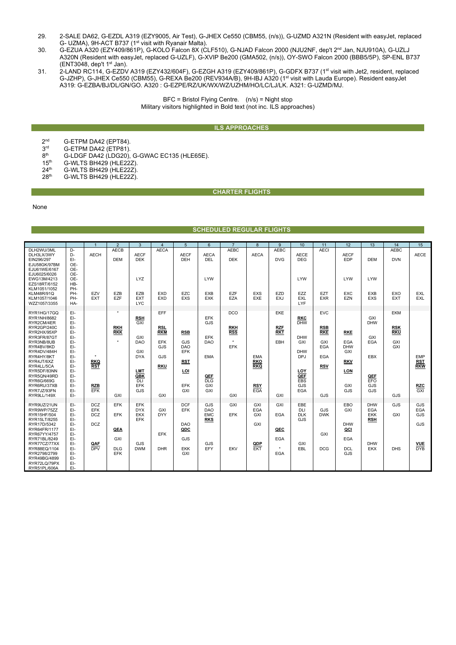- 29. 2-SALE DA62, G-EZDL A319 (EZY9005, Air Test), G-JHEX Ce550 (CBM55, (n/s)), G-UZMD A321N (Resident with easyJet, replaced G- UZMA), 9H-ACT B737 (1<sup>st</sup> visit with Ryanair Malta).
- 30. G-EZUA A320 (EZY409/861P), G-KOLO Falcon 8X (CLF510), G-NJAD Falcon 2000 (NJU2NF, dep't 2<sup>nd</sup> Jan, NJU910A), G-UZLJ A320N (Resident with easyJet, replaced G-UZLF), G-XVIP Be200 (GMA502, (n/s)), OY-SWO Falcon 2000 (BBB5/5P), SP-ENL B737  $(ENT3048, dep't 1<sup>st</sup> Jan).$
- 31. 2-LAND RC114, G-EZDV A319 (EZY432/604F), G-EZGH A319 (EZY409/861P), G-GDFX B737 (1st visit with Jet2, resident, replaced G-JZHP), G-JHEX Ce550 (CBM55), G-REXA Be200 (REV934A/B), 9H-IBJ A320 (1<sup>st</sup> visit with Lauda Europe). Resident easyJet A319: G-EZBA/BJ/DL/GN/GO. A320 : G-EZPE/RZ/UK/WX/WZ/UZHM/HO/LC/LJ/LK. A321: G-UZMD/MJ.

BFC = Bristol Flying Centre. (n/s) = Night stop Military visitors highlighted in Bold text (not inc. ILS approaches)

## **ILS APPROACHES**

- 2<sup>nd</sup> G-ETPM DA42 (EPT84).<br>3<sup>rd</sup> G-ETPM DA42 (ETP81).
- $3^{rd}$  G-ETPM DA42 (ETP81).<br>8<sup>th</sup> G-LDGF DA42 (1 DG20).  $8<sup>th</sup>$  G-LDGF DA42 (LDG20), G-GWAC EC135 (HLE65E).<br>15<sup>th</sup> G-WLTS BH429 (HLE22Z).
- 
- $15^{th}$  G-WLTS BH429 (HLE22Z).<br> $24^{th}$  G-WLTS BH429 (HLE22Z).  $24<sup>th</sup>$  G-WLTS BH429 (HLE22Z).<br> $28<sup>th</sup>$  G-WLTS BH429 (HLE22Z).
- G-WLTS BH429 (HLE22Z).

## **CHARTER FLIGHTS**

#### None

# **SCHEDULED REGULAR FLIGHTS**

|                                                                                                                                                                                                                                       |                                                                                                              |                                                                           | $\overline{2}$                                              | 3                                                                                                            | $\overline{4}$                                                     | 5                                                                  | 6                                                                                                    | $\overline{7}$                                                  | 8                                                    | 9                                                 | 10                                                                                                           | 11                                                                               | 12                                                                        | 13                                                                               | 14                                             | 15                                                          |
|---------------------------------------------------------------------------------------------------------------------------------------------------------------------------------------------------------------------------------------|--------------------------------------------------------------------------------------------------------------|---------------------------------------------------------------------------|-------------------------------------------------------------|--------------------------------------------------------------------------------------------------------------|--------------------------------------------------------------------|--------------------------------------------------------------------|------------------------------------------------------------------------------------------------------|-----------------------------------------------------------------|------------------------------------------------------|---------------------------------------------------|--------------------------------------------------------------------------------------------------------------|----------------------------------------------------------------------------------|---------------------------------------------------------------------------|----------------------------------------------------------------------------------|------------------------------------------------|-------------------------------------------------------------|
| DLH2WU/3ML<br>DLH3LX/3WY<br>EIN296/297<br>EJU58GK/97BM<br>EJU61WE/6167<br>EJU6025/6026<br>EWG13M/4213<br>EZS18RT/6152<br>KLM1051/1052<br><b>KLM48R/91Q</b><br>KLM1057/1046<br>WZZ1057/3355                                            | D-<br>D-<br>EI-<br>OE-<br>OE-<br>OE-<br>OE-<br>HB-<br>PH-<br>PH-<br>PH-<br>HA-                               | <b>AECH</b><br>EZV<br><b>EXT</b>                                          | <b>AECB</b><br><b>DEM</b><br>EZB<br><b>EZF</b>              | <b>AECF</b><br><b>DEK</b><br><b>LYZ</b><br>EZB<br>EXT<br><b>LYC</b>                                          | <b>AECA</b><br><b>EXD</b><br><b>EXD</b>                            | <b>AECF</b><br><b>DEH</b><br>EZC<br>EXS                            | <b>AECA</b><br>DEL<br><b>LYW</b><br><b>EXB</b><br><b>EXK</b>                                         | <b>AEBC</b><br><b>DEK</b><br>EZF<br>EZA                         | <b>AECA</b><br><b>EXS</b><br>EXE                     | <b>AFBC</b><br><b>DVG</b><br>EZD<br>EXJ           | <b>AECE</b><br><b>DEG</b><br><b>LYW</b><br>EZZ<br><b>EXL</b><br>LYF                                          | <b>AECI</b><br>EZT<br><b>EXR</b>                                                 | <b>AECF</b><br><b>EDP</b><br>LYW<br><b>EXC</b><br>EZN                     | <b>DEM</b><br>LYW<br><b>EXB</b><br><b>EXS</b>                                    | <b>AEBC</b><br><b>DVN</b><br>EXO<br><b>EXT</b> | <b>AECE</b><br>EXL<br>EXL                                   |
| RYR1HG/17GQ<br>RYR1NH/8682<br>RYR2CM/4ER<br>RYR2GP/240C<br>RYR2HX/95XP<br>RYR3FR/87GT<br>RYR3NB/8UB<br>RYR4BV/8KD<br>RYR4DV/484H<br>RYR4HY/8KT<br>RYR4JT/6XZ<br>RYR4LL/5CA<br>RYR5DF/83NN<br>RYR5QN/49RD<br>RYR6G/669G<br>RYR6RU/37XB | EI-<br>EI-<br>EI-<br>EI-<br>EI-<br>EI-<br>EI-<br>EI-<br>EI-<br>EI-<br>EI-<br>EI-<br>EI-<br>EI-<br>EI-<br>EI- | $\bullet$<br><b>RKQ</b><br><b>RST</b><br><b>RZB</b>                       | $\star$<br><b>RKH</b><br><b>RKK</b><br>٠                    | <b>RSH</b><br>GXI<br>GXI<br><b>DAO</b><br>GXI<br><b>DYA</b><br><b>LMT</b><br>QBK<br><b>DLI</b><br><b>EFK</b> | EFF<br><b>RSL</b><br><b>RKM</b><br>EFK<br>GJS<br>GJS<br><b>RKU</b> | <b>RSB</b><br>GJS<br><b>DAO</b><br>EFK<br><b>RST</b><br>LOI<br>EFK | <b>EFK</b><br><b>GJS</b><br><b>EFK</b><br><b>DAO</b><br><b>EMA</b><br>QEF<br>$\overline{DLG}$<br>GXI | <b>DCO</b><br><b>RKH</b><br><b>RSS</b><br>$\star$<br><b>EFK</b> | <b>EMA</b><br><b>RKO</b><br><b>RKQ</b><br><b>RSY</b> | <b>EKE</b><br><b>RZF</b><br><b>RKT</b><br>EBH     | <b>RKC</b><br><b>DHW</b><br><b>DHW</b><br>GXI<br><b>DHW</b><br><b>DPJ</b><br>LOY<br>QEF<br><b>EBS</b><br>GJS | <b>EVC</b><br><b>RSB</b><br><b>RKE</b><br>GXI<br>EGA<br><b>EGA</b><br><b>RSV</b> | <b>RKE</b><br><b>EGA</b><br><b>DHW</b><br>GXI<br><b>RKV</b><br>LON<br>GXI | GXI<br><b>DHW</b><br>GXI<br><b>EGA</b><br><b>EBX</b><br>QEF<br><b>EFO</b><br>GJS | EKM<br><b>RSK</b><br><b>RKU</b><br>GXI<br>GXI  | <b>EMP</b><br><b>RST</b><br><b>RKW</b><br><b>RZC</b>        |
| RYR7JZ/93FN<br>RYR9LL/149X                                                                                                                                                                                                            | EI-<br>EI-                                                                                                   | EFK                                                                       | GXI                                                         | GJS                                                                                                          | GXI                                                                | GXI                                                                | GXI                                                                                                  | GXI                                                             | EGA                                                  | GXI                                               | <b>EGA</b>                                                                                                   | GJS                                                                              | GJS                                                                       | GJS                                                                              | GJS                                            | GXI                                                         |
| RYR9UZ/21UN<br>RYR9WP/75ZZ<br>RYR15HF/504<br>RYR15LT/8255<br>RYR17D/5342<br>RYR64FR/1177<br>RYR67YY/4757<br>RYR71BL/8249<br>RYR77CZ/77XX<br>RYR88EQ/1104<br>RYR2798/2799<br>RYR49BG/4899<br>RYR72LQ/79PX<br>RYR51PL/606A              | EI-<br>EI-<br>EI-<br>EI-<br>EI-<br>EI-<br>EI-<br>EI-<br>EI-<br>EI-<br>EI-<br>EI-<br>EI-<br>$E$ -             | <b>DCZ</b><br><b>EFK</b><br><b>DCZ</b><br><b>DCZ</b><br>QAF<br><b>DPV</b> | <b>EFK</b><br><b>EFK</b><br>QEA<br>GXI<br><b>DLG</b><br>EFK | <b>EFK</b><br><b>DYX</b><br><b>EKX</b><br>EFK<br>GJS<br><b>DWM</b>                                           | GXI<br><b>DYY</b><br><b>EFK</b><br><b>DHR</b>                      | <b>DCF</b><br>EFK<br><b>DAO</b><br>QDC<br>GJS<br><b>EKK</b><br>GXI | GJS<br><b>DAO</b><br><b>EMC</b><br><b>RKS</b><br>GJS<br>EFY                                          | GXI<br><b>EFK</b><br>EKV                                        | GXI<br><b>EGA</b><br>GXI<br>GXI<br>QDP<br>EKT        | GXI<br><b>EGA</b><br>QEC<br>EGA<br>$\star$<br>EGA | EBE<br><b>DLI</b><br><b>DLK</b><br>GJS<br>GXI<br>EBL                                                         | GJS<br><b>DWK</b><br>GXI<br><b>DCG</b>                                           | EBO<br>GXI<br><b>DHW</b><br>QCI<br><b>EGA</b><br><b>DCL</b><br>GJS        | <b>DHW</b><br><b>EGA</b><br><b>EKK</b><br><b>RSH</b><br><b>DHW</b><br><b>EKX</b> | <b>GJS</b><br>GXI<br><b>DHS</b>                | GJS<br><b>EGA</b><br>GJS<br>GJS<br><b>VUE</b><br><b>DYB</b> |